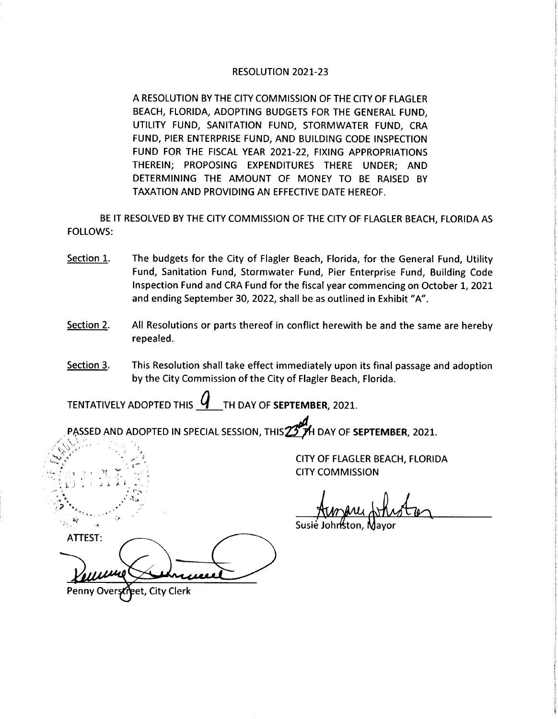## RESOLUTION 2021-23

A RESOLUTION BY THE CITY COMMISSION OF THE CITY OF FLAGLER BEACH, FLORIDA, ADOPTING BUDGETS FOR THE GENERAL FUND, UTILITY FUND, SANITATION FUND, STORMWATER FUND, CRA FUND, PIER ENTERPRISE FUND, AND BUILDING CODE INSPECTION FUND FOR THE FISCAL YEAR 2021-22, FIXING APPROPRIATIONS THEREIN; PROPOSING EXPENDITURES THERE UNDER; AND DETERMINING THE AMOUNT OF MONEY TO BE RAISED BY TAXATION AND PROVIDING AN EFFECTIVE DATE HEREOF.

BE IT RESOLVED BY THE CITY COMMISSION OF THE CITY OF FLAGLER BEACH, FLORIDA AS FOLLOWS:

- Section 1. The budgets for the City of Flagler Beach, Florida, for the General Fund, Utility Fund, Sanitation Fund, Stormwater Fund, Pier Enterprise Fund, Building Code Inspection Fund and CRA Fund for the fiscal year commencing on October 1, 2021 and ending September 30, 2022, shall be as outlined in Exhibit "A".
- Section 2. All Resolutions or parts thereof in conflict herewith be and the same are hereby repealed.
- Section 3. This Resolution shall take effect immediately upon its final passage and adoption by the City Commission of the City of Flagler Beach, Florida.

TENTATIVELY ADOPTED THIS  $\bm{Y}$  TH DAY OF SEPTEMBER, 2021.

PASSED AND ADOPTED IN SPECIAL SESSION, THIS 25 TH DAY OF SEPTEMBER, 2021.

CITY OF FLAGLER BEACH, FLORIDA CITY COMMISSION

Susié Jo

ATTEST:

ý

Penny Overstreet, City Clerk

t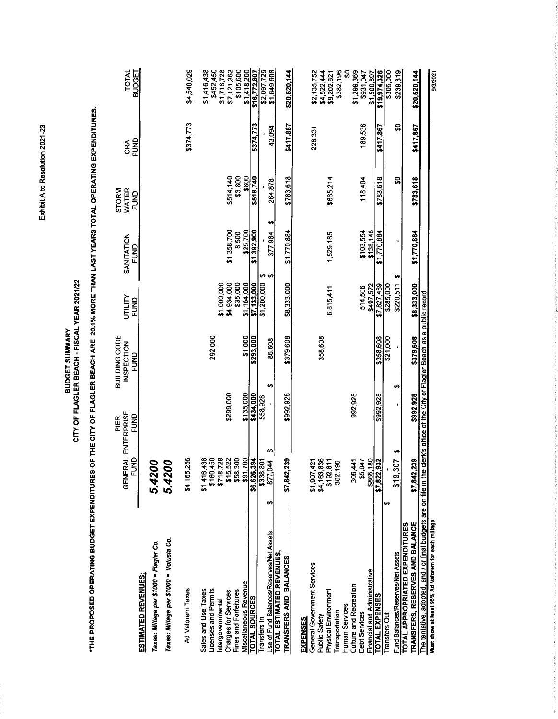| THE PROPOSED OPERATING BUDGET EXPENDITURES                                                                |                                    |              | OF THE CITY OF FLAGLER BEACH ARE 20.1% MORE THAN LAST YEARS TOTAL OPERATING EXPENDITURES. |                            |                          |                               |             |                               |
|-----------------------------------------------------------------------------------------------------------|------------------------------------|--------------|-------------------------------------------------------------------------------------------|----------------------------|--------------------------|-------------------------------|-------------|-------------------------------|
|                                                                                                           | <b>GENERAL ENTERPRISE</b><br>EUND  | FUND<br>PIER | BUILDING CODE<br><b>INSPECTION</b><br><b>SP</b>                                           | UTILITY<br>FUND            | SANITATION<br>FUND       | WATER<br><b>STORM</b><br>FUND | FUND<br>රි් | <b>TOTAL</b><br><b>BUDGET</b> |
| Taxes: Millage per \$1000 = Volusia Co.<br>Taxes: Millage per \$1000 = Flagler Co.<br>ESTIMATED REVENUES: | 8<br>$\infty$<br>5.42<br>5.42      |              |                                                                                           |                            |                          |                               |             |                               |
| Ad Valorem Taxes                                                                                          | 256<br>\$4,165,                    |              |                                                                                           |                            |                          |                               | \$374,773   | \$4,540,029                   |
| Licenses and Permits<br>Sales and Use Taxes                                                               | 438<br>450<br>\$1,416<br>\$160.    |              | 292,000                                                                                   |                            |                          |                               |             | \$1,416,438<br>\$452,450      |
| Charges for Services<br>Intergovernmental                                                                 | \$718,728<br>\$15,522              | \$299,000    |                                                                                           | \$4,934,000<br>\$1,000,000 | \$1,358,700              | \$514,140                     |             | \$1,718,728<br>\$7,121,362    |
| Miscellaneous Revenue<br>Fines and Forfeitures                                                            | 300<br>\$91,700<br>\$58,           | \$135,000    | \$1,000                                                                                   | \$35,000<br>\$1,164,000    | \$25,700<br>8,500        | \$3,800<br>\$800              |             | \$105,600                     |
| <b>TOTAL SOURCES</b>                                                                                      |                                    | \$434,000    | \$293,000                                                                                 | \$7,133,000                | \$1,392,900              | \$518,740                     | \$374,773   | \$1,418,200<br>\$16,772,807   |
| Transfers In                                                                                              | <b>\$6,626,394</b><br>\$338,801    | 558,928      |                                                                                           | မှာ မှာ<br>\$1,200,000     |                          |                               |             | \$2,097,729                   |
| Jse of Fund Balances/Reserves/Net Assets<br>TOTAL ESTIMATED REVENUES,                                     | မာ<br>$\frac{44}{5}$<br>877,<br>မာ | မာ           | 86,508                                                                                    |                            | မာ<br>377,984            | 264,878                       | 43,094      | \$1,649,608                   |
| TRANSFERS AND BALANCES                                                                                    | 239<br>\$7,842,                    | \$992,928    | \$379,608                                                                                 | \$8,333,000                | \$1,770.884              | \$783.618                     | \$417,867   | \$20,520,144                  |
| General Government Services<br><b>EXPENSES</b>                                                            | \$1,907,421                        |              |                                                                                           |                            |                          |                               | 228,331     | \$2,135,752                   |
| Physical Environment<br>Public Safety                                                                     | \$4,163,836                        |              | 358,608                                                                                   | 6,815,411                  | 1,529,185                | \$665,214                     |             | \$4,522,444                   |
| Human Services<br>Transportation                                                                          | \$192,811<br>382,196               |              |                                                                                           |                            |                          |                               |             | \$382,196<br>\$9,202,621      |
| <b>Culture and Recreation</b>                                                                             | 306,441                            | 992,928      |                                                                                           |                            |                          |                               |             | ន្ល<br>\$1,299,369            |
| <b>Debt Services</b>                                                                                      | \$5,047                            |              |                                                                                           | 514,506                    | \$103,554                | 118,404                       | 189,536     | \$931,047                     |
| Financial and Administrative<br><b>TOTAL EXPENSES</b>                                                     | \$7,822,932                        | \$992,928    | \$358,608                                                                                 | \$497,572<br>\$7,827,489   | \$138,145<br>\$1,770,884 | \$783,618                     | \$417,867   | \$19,974,326<br>\$1,500,897   |
| Transfers Out                                                                                             | ÷A                                 |              | \$21,000                                                                                  | \$285,000                  |                          |                               |             | \$306,000                     |
| Fund Balances/Reserves/Net Assets                                                                         | H<br>\$19,307                      | မာ           |                                                                                           | ↮<br>\$220,511             |                          | ຊູ                            | ន្ល         | \$239,819                     |
| TRANSFERS, RESERVES AND BALANCE<br><b>TOTAL APPROPRIATED EXPENDITURES</b>                                 | \$7,842,239                        | \$992,928    | \$379,608                                                                                 | \$8,333,000                | \$1,770,884              | \$783,618                     | \$417,867   | \$20,520,144                  |
| The tentative, adopted, and / or final budgets are on file in the                                         |                                    |              | clerk's office of the City of Flagler Beach as a public record                            |                            |                          |                               |             |                               |
| Must show at least 95% Ad Valorem for each millage                                                        |                                    |              |                                                                                           |                            |                          |                               |             | annma                         |

**BUDGET SUMMARY<br>CITY OF FLAGLER BEACH - FISCAL YEAR 2021/22** 

Exhibit A to Resolution 2021-23

## 9/3/2021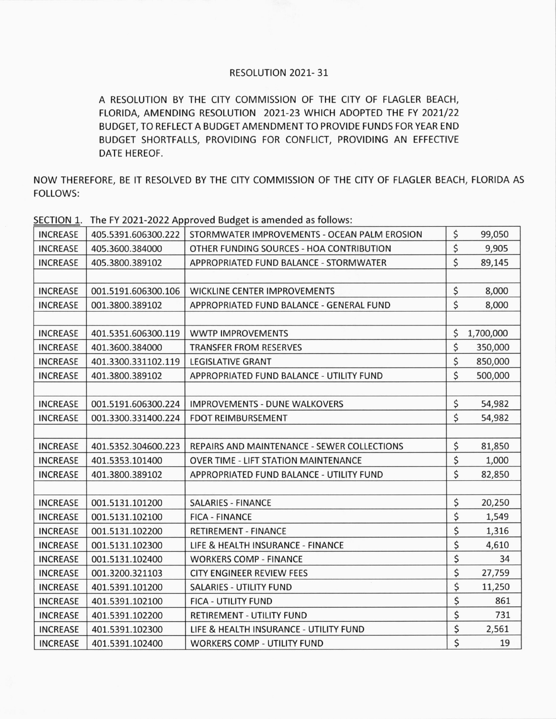## RESOLUTION 2021- 31

A RESOLUTION BY THE CITY COMMISSION OF THE CITY OF FLAGLER BEACH, FLORIDA, AMENDING RESOLUTION 2021-23 WHICH ADOPTED THE FY 2021/22 BUDGET, TO REFLECT A BUDGETAMENDMENT TO PROVIDE FUNDS FOR YEAR END BUDGET SHORTFALLS, PROVIDING FOR CONFLICT, PROVIDING AN EFFECTIVE DATE HEREOF.

NOW THEREFORE, BE IT RESOLVED BY THE CITY COMMISSION OF THE CITY OF FLAGLER BEACH, FLORIDA AS FOLLOWS:

|                 |                     | THE TILE EVEL TO BE THE PLACE OF BUSINESS OF THE HOTEL IS TO TO THE W |                 |
|-----------------|---------------------|-----------------------------------------------------------------------|-----------------|
| <b>INCREASE</b> | 405.5391.606300.222 | STORMWATER IMPROVEMENTS - OCEAN PALM EROSION                          | \$<br>99,050    |
| <b>INCREASE</b> | 405.3600.384000     | OTHER FUNDING SOURCES - HOA CONTRIBUTION                              | \$<br>9,905     |
| <b>INCREASE</b> | 405.3800.389102     | APPROPRIATED FUND BALANCE - STORMWATER                                | \$<br>89,145    |
|                 |                     |                                                                       |                 |
| <b>INCREASE</b> | 001.5191.606300.106 | <b>WICKLINE CENTER IMPROVEMENTS</b>                                   | \$<br>8,000     |
| <b>INCREASE</b> | 001.3800.389102     | APPROPRIATED FUND BALANCE - GENERAL FUND                              | \$<br>8,000     |
|                 |                     |                                                                       |                 |
| <b>INCREASE</b> | 401.5351.606300.119 | <b>WWTP IMPROVEMENTS</b>                                              | \$<br>1,700,000 |
| <b>INCREASE</b> | 401.3600.384000     | <b>TRANSFER FROM RESERVES</b>                                         | \$<br>350,000   |
| <b>INCREASE</b> | 401.3300.331102.119 | <b>LEGISLATIVE GRANT</b>                                              | \$<br>850,000   |
| <b>INCREASE</b> | 401.3800.389102     | APPROPRIATED FUND BALANCE - UTILITY FUND                              | \$<br>500,000   |
|                 |                     |                                                                       |                 |
| <b>INCREASE</b> | 001.5191.606300.224 | <b>IMPROVEMENTS - DUNE WALKOVERS</b>                                  | \$<br>54,982    |
| <b>INCREASE</b> | 001.3300.331400.224 | <b>FDOT REIMBURSEMENT</b>                                             | \$<br>54,982    |
|                 |                     |                                                                       |                 |
| <b>INCREASE</b> | 401.5352.304600.223 | <b>REPAIRS AND MAINTENANCE - SEWER COLLECTIONS</b>                    | \$<br>81,850    |
| <b>INCREASE</b> | 401.5353.101400     | <b>OVER TIME - LIFT STATION MAINTENANCE</b>                           | \$<br>1,000     |
| <b>INCREASE</b> | 401.3800.389102     | APPROPRIATED FUND BALANCE - UTILITY FUND                              | \$<br>82,850    |
|                 |                     |                                                                       |                 |
| <b>INCREASE</b> | 001.5131.101200     | <b>SALARIES - FINANCE</b>                                             | \$<br>20,250    |
| <b>INCREASE</b> | 001.5131.102100     | <b>FICA - FINANCE</b>                                                 | \$<br>1,549     |
| <b>INCREASE</b> | 001.5131.102200     | <b>RETIREMENT - FINANCE</b>                                           | \$<br>1,316     |
| <b>INCREASE</b> | 001.5131.102300     | LIFE & HEALTH INSURANCE - FINANCE                                     | \$<br>4,610     |
| <b>INCREASE</b> | 001.5131.102400     | <b>WORKERS COMP - FINANCE</b>                                         | \$<br>34        |
| <b>INCREASE</b> | 001.3200.321103     | <b>CITY ENGINEER REVIEW FEES</b>                                      | \$<br>27,759    |
| <b>INCREASE</b> | 401.5391.101200     | <b>SALARIES - UTILITY FUND</b>                                        | \$<br>11,250    |
| <b>INCREASE</b> | 401.5391.102100     | FICA - UTILITY FUND                                                   | \$<br>861       |
| <b>INCREASE</b> | 401.5391.102200     | <b>RETIREMENT - UTILITY FUND</b>                                      | \$<br>731       |
| <b>INCREASE</b> | 401.5391.102300     | LIFE & HEALTH INSURANCE - UTILITY FUND                                | \$<br>2,561     |
| <b>INCREASE</b> | 401.5391.102400     | <b>WORKERS COMP - UTILITY FUND</b>                                    | \$<br>19        |

SECTION 1. The FY 2021-2022 Approved Budget is amended as follows: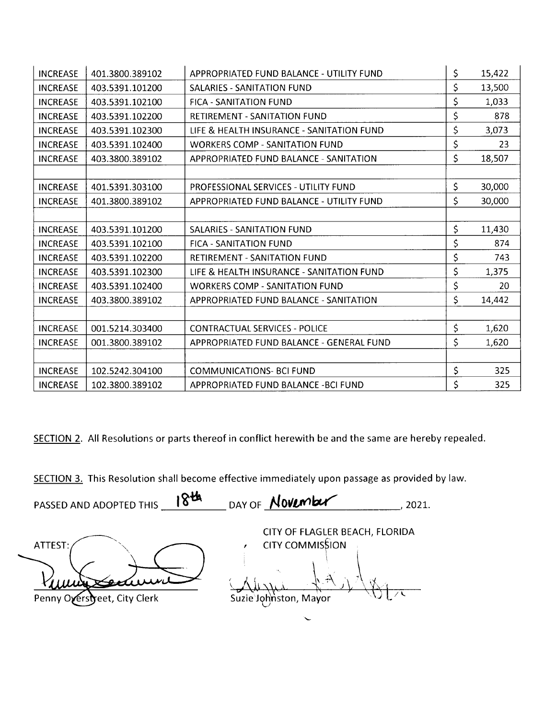| <b>INCREASE</b> | 401.3800.389102 | APPROPRIATED FUND BALANCE - UTILITY FUND    | \$  | 15,422 |
|-----------------|-----------------|---------------------------------------------|-----|--------|
| <b>INCREASE</b> | 403.5391.101200 | SALARIES - SANITATION FUND                  | \$  | 13,500 |
| <b>INCREASE</b> | 403.5391.102100 | <b>FICA - SANITATION FUND</b>               | \$  | 1,033  |
| <b>INCREASE</b> | 403.5391.102200 | <b>RETIREMENT - SANITATION FUND</b>         | \$  | 878    |
| <b>INCREASE</b> | 403.5391.102300 | LIFE & HEALTH INSURANCE - SANITATION FUND   | \$  | 3,073  |
| <b>INCREASE</b> | 403.5391.102400 | <b>WORKERS COMP - SANITATION FUND</b>       | \$  | 23     |
| <b>INCREASE</b> | 403.3800.389102 | APPROPRIATED FUND BALANCE - SANITATION      | \$  | 18,507 |
|                 |                 |                                             |     |        |
| <b>INCREASE</b> | 401.5391.303100 | <b>PROFESSIONAL SERVICES - UTILITY FUND</b> | \$  | 30,000 |
| <b>INCREASE</b> | 401.3800.389102 | APPROPRIATED FUND BALANCE - UTILITY FUND    | \$  | 30,000 |
|                 |                 |                                             |     |        |
| <b>INCREASE</b> | 403.5391.101200 | <b>SALARIES - SANITATION FUND</b>           | \$  | 11,430 |
| <b>INCREASE</b> | 403.5391.102100 | <b>FICA - SANITATION FUND</b>               | \$  | 874    |
| <b>INCREASE</b> | 403.5391.102200 | <b>RETIREMENT - SANITATION FUND</b>         | \$  | 743    |
| <b>INCREASE</b> | 403.5391.102300 | LIFE & HEALTH INSURANCE - SANITATION FUND   | \$  | 1,375  |
| <b>INCREASE</b> | 403.5391.102400 | <b>WORKERS COMP - SANITATION FUND</b>       | \$  | 20     |
| <b>INCREASE</b> | 403.3800.389102 | APPROPRIATED FUND BALANCE - SANITATION      | \$  | 14,442 |
|                 |                 |                                             |     |        |
| <b>INCREASE</b> | 001.5214.303400 | <b>CONTRACTUAL SERVICES - POLICE</b>        | \$  | 1,620  |
| <b>INCREASE</b> | 001.3800.389102 | APPROPRIATED FUND BALANCE - GENERAL FUND    | \$  | 1,620  |
|                 |                 |                                             |     |        |
| <b>INCREASE</b> | 102.5242.304100 | <b>COMMUNICATIONS- BCI FUND</b>             | \$  | 325    |
| <b>INCREASE</b> | 102.3800.389102 | APPROPRIATED FUND BALANCE - BCI FUND        | \$. | 325    |

SECTION 2. All Resolutions or parts thereof in conflict herewith be and the same are hereby repealed.

SECTION 3. This Resolution shall become effective immediately upon passage as provided by law.

PASSED AND ADOPTED THIS 18th  $DAY OF$  November 2021.

ATTEST:

CITY OF FLAGLER BEACH, FLORIDA CITY COMMISSION Suzie Johnston, Mayor

Penny Overstreet, City Clerk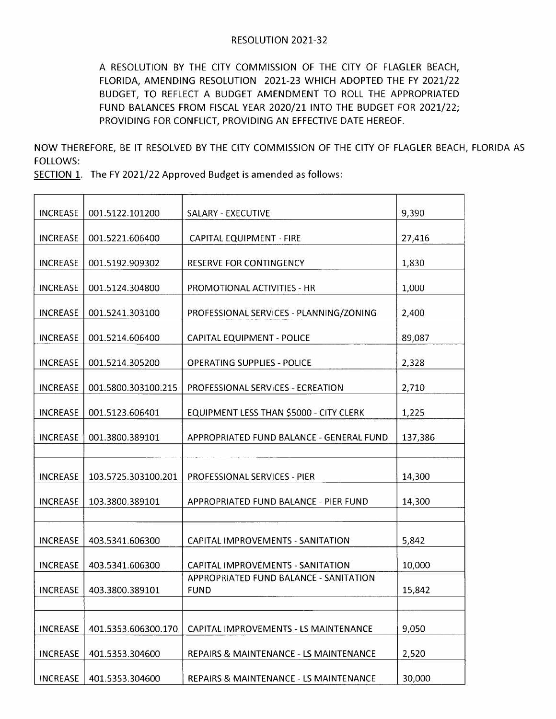A RESOLUTION BY THE CITY COMMISSION OF THE CITY OF FLAGLER BEACH, FLORIDA, AMENDING RESOLUTION 2021-23 WHICH ADOPTED THE FY 2021/22 BUDGET, TO REFLECT A BUDGET AMENDMENT TO ROLL THE APPROPRIATED FUND BALANCES FROM FISCAL YEAR 2020/21 INTO THE BUDGET FOR 2021/22; PROVIDING FOR CONFLICT, PROVIDING AN EFFECTIVE DATE HEREOF.

NOW THEREFORE, BE IT RESOLVED BY THE CITY COMMISSION OF THE CITY OF FLAGLER BEACH, FLORIDA AS FOLLOWS:

SECTION 1. The FY 2021/22 Approved Budget is amended as follows:

| <b>INCREASE</b> | 001.5122.101200     | SALARY - EXECUTIVE                                    | 9,390   |
|-----------------|---------------------|-------------------------------------------------------|---------|
| <b>INCREASE</b> | 001.5221.606400     | CAPITAL EQUIPMENT - FIRE                              | 27,416  |
| <b>INCREASE</b> | 001.5192.909302     | <b>RESERVE FOR CONTINGENCY</b>                        | 1,830   |
| <b>INCREASE</b> | 001.5124.304800     | PROMOTIONAL ACTIVITIES - HR                           | 1,000   |
| <b>INCREASE</b> | 001.5241.303100     | PROFESSIONAL SERVICES - PLANNING/ZONING               | 2,400   |
| <b>INCREASE</b> | 001.5214.606400     | CAPITAL EQUIPMENT - POLICE                            | 89,087  |
| <b>INCREASE</b> | 001.5214.305200     | <b>OPERATING SUPPLIES - POLICE</b>                    | 2,328   |
| <b>INCREASE</b> | 001.5800.303100.215 | PROFESSIONAL SERVICES - ECREATION                     | 2,710   |
| <b>INCREASE</b> | 001.5123.606401     | EQUIPMENT LESS THAN \$5000 - CITY CLERK               | 1,225   |
| <b>INCREASE</b> | 001.3800.389101     | APPROPRIATED FUND BALANCE - GENERAL FUND              | 137,386 |
|                 |                     |                                                       |         |
| <b>INCREASE</b> | 103.5725.303100.201 | PROFESSIONAL SERVICES - PIER                          | 14,300  |
| <b>INCREASE</b> | 103.3800.389101     | APPROPRIATED FUND BALANCE - PIER FUND                 | 14,300  |
|                 |                     |                                                       |         |
| <b>INCREASE</b> | 403.5341.606300     | CAPITAL IMPROVEMENTS - SANITATION                     | 5,842   |
| <b>INCREASE</b> | 403.5341.606300     | <b>CAPITAL IMPROVEMENTS - SANITATION</b>              | 10,000  |
| <b>INCREASE</b> | 403.3800.389101     | APPROPRIATED FUND BALANCE - SANITATION<br><b>FUND</b> | 15,842  |
|                 |                     |                                                       |         |
| <b>INCREASE</b> | 401.5353.606300.170 | CAPITAL IMPROVEMENTS - LS MAINTENANCE                 | 9,050   |
| <b>INCREASE</b> | 401.5353.304600     | REPAIRS & MAINTENANCE - LS MAINTENANCE                | 2,520   |
| <b>INCREASE</b> | 401.5353.304600     | REPAIRS & MAINTENANCE - LS MAINTENANCE                | 30,000  |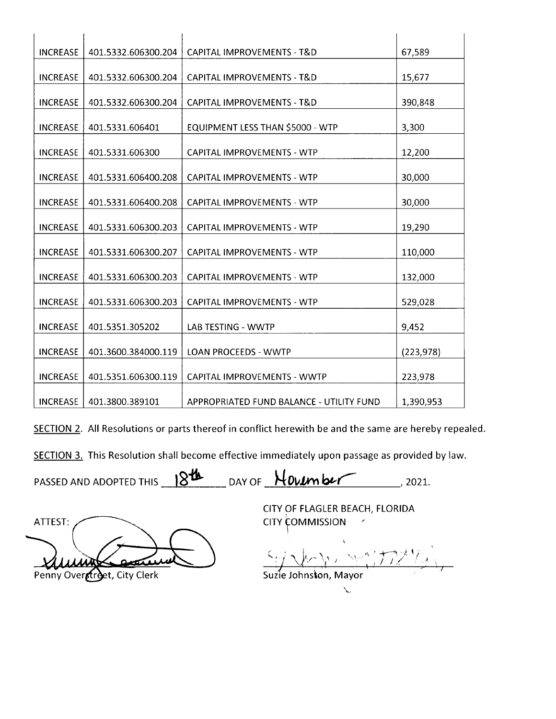| <b>INCREASE</b> | 401.5332.606300.204 | CAPITAL IMPROVEMENTS - T&D               | 67,589     |
|-----------------|---------------------|------------------------------------------|------------|
| <b>INCREASE</b> | 401.5332.606300.204 | CAPITAL IMPROVEMENTS - T&D               | 15,677     |
| <b>INCREASE</b> | 401.5332.606300.204 | CAPITAL IMPROVEMENTS - T&D               | 390,848    |
| <b>INCREASE</b> | 401.5331.606401     | EQUIPMENT LESS THAN \$5000 - WTP         | 3,300      |
| <b>INCREASE</b> | 401.5331.606300     | <b>CAPITAL IMPROVEMENTS - WTP</b>        | 12,200     |
| <b>INCREASE</b> | 401.5331.606400.208 | <b>CAPITAL IMPROVEMENTS - WTP</b>        | 30,000     |
| <b>INCREASE</b> | 401.5331.606400.208 | <b>CAPITAL IMPROVEMENTS - WTP</b>        | 30,000     |
| <b>INCREASE</b> | 401.5331.606300.203 | <b>CAPITAL IMPROVEMENTS - WTP</b>        | 19,290     |
| <b>INCREASE</b> | 401.5331.606300.207 | <b>CAPITAL IMPROVEMENTS - WTP</b>        | 110,000    |
| <b>INCREASE</b> | 401.5331.606300.203 | <b>CAPITAL IMPROVEMENTS - WTP</b>        | 132,000    |
| <b>INCREASE</b> | 401.5331.606300.203 | <b>CAPITAL IMPROVEMENTS - WTP</b>        | 529,028    |
| <b>INCREASE</b> | 401.5351.305202     | <b>LAB TESTING - WWTP</b>                | 9,452      |
| <b>INCREASE</b> | 401.3600.384000.119 | <b>LOAN PROCEEDS - WWTP</b>              | (223, 978) |
| <b>INCREASE</b> | 401.5351.606300.119 | CAPITAL IMPROVEMENTS - WWTP              | 223,978    |
| <b>INCREASE</b> | 401.3800.389101     | APPROPRIATED FUND BALANCE - UTILITY FUND | 1,390,953  |

SECTION 2. All Resolutions or parts thereof in conflict herewith be and the same are hereby repealed.

SECTION 3. This Resolution shall become effective immediately upon passage as provided by law.

PASSED AND ADOPTED THIS  $18^{14}$  DAY OF  $\frac{\text{H} \text{O} \text{V} \text{L}}{\text{O} \text{V} \text{L}}$  2021.

ATTEST: AAMe Audit Communication (1974)

CITY OF FLAGLER BEACH, FLORIDA **CITY COMMISSION** 

1,